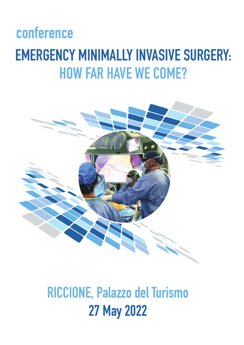# **EMERGENCY MINIMALLY INVASIVE SURGERY: HOW FAR HAVE WE COME? conference**



# **RICCIONE, Palazzo del Turismo 27 May 2022**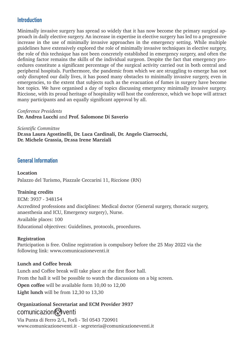#### **Introduction**

Minimally invasive surgery has spread so widely that it has now become the primary surgical approach in daily elective surgery. An increase in expertise in elective surgery has led to a progressive increase in the use of minimally invasive approaches in the emergency setting. While multiple guidelines have extensively explored the role of minimally invasive techniques in elective surgery, the role of this technique has not been concretely established in emergency surgery, and often the defining factor remains the skills of the individual surgeon. Despite the fact that emergency procedures constitute a significant percentage of the surgical activity carried out in both central and peripheral hospitals. Furthermore, the pandemic from which we are struggling to emerge has not only disrupted our daily lives, it has posed many obstacles to minimally invasive surgery, even in emergencies, to the extent that subjects such as the evacuation of fumes in surgery have become hot topics. We have organised a day of topics discussing emergency minimally invasive surgery. Riccione, with its proud heritage of hospitality will host the conference, which we hope will attract many participants and an equally significant approval by all.

*Conference Presidents* **Dr. Andrea Lucchi** and **Prof. Salomone Di Saverio**

*Scientific Committee* **Dr.ssa Laura Agostinelli, Dr. Luca Cardinali, Dr. Angelo Ciarrocchi, Dr. Michele Grassia, Dr.ssa Irene Marziali** 

#### **General Information**

#### **Location**

Palazzo del Turismo, Piazzale Ceccarini 11, Riccione (RN)

#### **Training credits**

ECM: 3937 - 348154 Accredited professions and disciplines: Medical doctor (General surgery, thoracic surgery, anaesthesia and ICU, Emergency surgery), Nurse. Available places: 100 Educational objectives: Guidelines, protocols, procedures.

#### **Registration**

Participation is free. Online registration is compulsory before the 25 May 2022 via the following link: www.comunicazioneventi.it

#### **Lunch and Coffee break**

Lunch and Coffee break will take place at the first floor hall. From the hall it will be possible to watch the discussions on a big screen. **Open coffee** will be available form 10,00 to 12,00 **Light lunch** will be from 12,30 to 13,30

# **Organizational Secretariat and ECM Provider 3937** comunicazion & venti

Via Punta di Ferro 2/L, Forlì - Tel 0543 720901 www.comunicazioneventi.it - segreteria@comunicazioneventi.it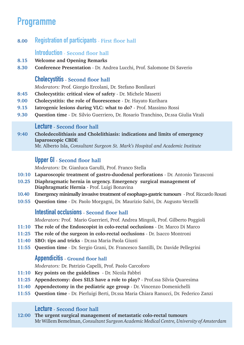# **Programme**

**8.00 Registration of participants** - **First floor hall**

#### **Introduction** - **Second floor hall**

- **8.15 Welcome and Opening Remarks**
- **8.30 Conference Presentation** Dr. Andrea Lucchi, Prof. Salomone Di Saverio

### **Cholecystitis** - **Second floor hall**

*Moderators:* Prof. Giorgio Ercolani, Dr. Stefano Bonilauri

- **8:45 Cholecystitis: critical view of safety** Dr. Michele Masetti
- **9.00 Cholecystitis: the role of fluorescence** Dr. Hayato Kurihara
- **9.15 Iatrogenic lesions during VLC: what to do?**  Prof. Massimo Rossi
- **9.30 Question time**  Dr. Silvio Guerriero, Dr. Rosario Tranchino, Dr.ssa Giulia Vitali

#### **Lecture** - **Second floor hall**

**9:40 Choledecolithiasis and Cholelithiasis: indications and limits of emergency laparoscopic CBDE** 

Mr. Alberto Isla, *Consultant Surgeon St. Mark's Hospital and Academic Institute* 

# **Upper GI** - **Second floor hall**

*Moderators:* Dr. Gianluca Garulli, Prof. Franco Stella

- **10:10 Laparoscopic treatment of gastro-duodenal perforations**  Dr. Antonio Tarasconi
- **10.25 Diaphragmatic hernia in urgency. Emergency surgical management of Diaphragmatic Hernia** - Prof. Luigi Bonavina
- **10.40 Emergency minimally invasive treatment of esophago-gastric tumours**  Prof. Riccardo Rosati
- **10:55 Question time**  Dr. Paolo Morgagni, Dr. Maurizio Salvi, Dr. Augusto Verzelli

# **Intestinal occlusions** - **Second floor hall**

*Moderators:* Prof. Mario Guerrieri, Prof. Andrea Mingoli, Prof. Gilberto Poggioli

- **11:10 The role of the Endoscopist in colo-rectal occlusions** Dr. Marco Di Marco
- **11:25 The role of the surgeon in colo-rectal occlusions** Dr. Isacco Montroni
- **11:40 SBO: tips and tricks**  Dr.ssa Maria Paola Giusti
- **11:55 Question time**  Dr. Sergio Grani, Dr. Francesco Santilli, Dr. Davide Pellegrini

# **Appendicitis** - **Ground floor hall**

*Moderators:* Dr. Patrizio Capelli, Prof. Paolo Carcoforo

- **11:10 Key points on the guidelines**  Dr. Nicola Fabbri
- **11:25 Appendectomy: does SILS have a role to play?** Prof.ssa Silvia Quaresima
- **11:40 Appendectomy in the pediatric age group** Dr. Vincenzo Domenichelli
- **11:55 Question time**  Dr. Pierluigi Berti, Dr.ssa Maria Chiara Ranucci, Dr. Federico Zanzi

#### **Lecture** - **Second floor hall**

**12:00 The urgent surgical management of metastatic colo-rectal tumours** Mr Willem Bemelman, *Consultant Surgeon Academic Medical Centre, University of Amsterdam*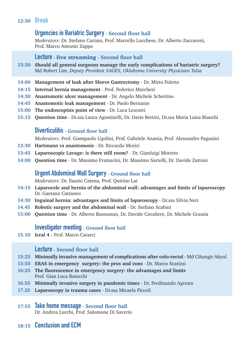# **12:30 Break**

## **Urgencies in Bariatric Surgery** - **Second floor hall**

*Moderators:* Dr. Stefano Cariani, Prof. Marcello Lucchese, Dr. Alberto Zaccaroni, Prof. Marco Antonio Zappa

#### **Lecture** - live streaming - **Second floor hall**

- **13:30 Should all general surgeons manage the early complications of bariatric surgery?** Md Robert Lim, *Deputy President SAGES, Oklahoma University Physicians Tulsa*
- **14:00 Management of leak after Sleeve Gastrectomy** Dr. Mirto Foletto
- **14:15 Internal hernia management** Prof. Federico Marchesi
- **14:30 Anastomotic ulcer management** Dr. Angelo Michele Schettino
- **14:45 Anastomotic leak management** Dr. Paolo Bernante
- **15:00 The endoscopists point of view** Dr. Luca Leuratti
- **15:15 Question time**  Dr.ssa Laura Agostinelli, Dr. Dario Bettini, Dr.ssa Maria Luisa Bianchi

# **Diverticulitis** - **Ground floor hall**

*Moderators:* Prof. Giampaolo Ugolini, Prof. Gabriele Anania, Prof. Alessandro Paganini

- **13:30 Hartmann vs anastomosis** Dr. Riccardo Morici
- **13:45 Laparoscopic Lavage: is there still room?** Dr. Gianluigi Moretto
- **14:00 Question time** Dr. Massimo Framarini, Dr. Massimo Sartelli, Dr. Davide Zattoni

### **Urgent Abdominal Wall Surgery** - **Ground floor hall**

*Moderators:* Dr. Fausto Catena, Prof. Quirino Lai

- **14:15 Laparocele and hernia of the abdominal wall: advantages and limits of laparoscopy** Dr. Gaetano Cattaneo
- **14:30 Inguinal hernia: advantages and limits of laparoscopy** Dr.ssa Silvia Neri
- **14.45 Robotic surgery and the abdominal wall** Dr. Stefano Scabini
- **15:00 Question time**  Dr. Alberto Buonanno, Dr. Davide Cavaliere, Dr. Michele Grassia

#### **Investigator meeting** - **Ground floor hall**

**15.10 Icral 4** - Prof. Marco Catarci

#### **Lecture** - **Second floor hall**

- **15:25 Minimally invasive management of complications after colo-rectal**  Md Cihangir Akyol
- **15:55 ERAS in emergency surgery: the pros and cons** Dr. Marco Scatizzi
- **16:25 The fluorescence in emergency surgery: the advantages and limits** Prof. Gian Luca Baiocchi
- **16.55 Minimally invasive surgery in pandemic times** Dr. Ferdinando Agresta
- **17.25 Laparoscopy in trauma cases** Dr.ssa Micaela Piccoli

#### **17:55 Take home message** - **Second floor hall** Dr. Andrea Lucchi, Prof. Salomone Di Saverio

**18:15 Conclusion and ECM**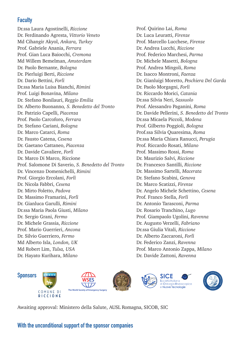# **Faculty**

Dr.ssa Laura Agostinelli, *Riccione* Dr. Ferdinando Agresta, *Vittorio Veneto* Md Cihangir Akyol, *Ankara, Turkey* Prof. Gabriele Anania, *Ferrara*  Prof. Gian Luca Baiocchi, *Cremona* Md Willem Bemelman, *Amsterdam* Dr. Paolo Bernante, *Bologna* Dr. Pierluigi Berti, *Riccione*  Dr. Dario Bettini, *Forlì* Dr.ssa Maria Luisa Bianchi, *Rimini* Prof. Luigi Bonavina, *Milano* Dr. Stefano Bonilauri, *Reggio Emilia* Dr. Alberto Buonanno*, S. Benedetto del Tronto* Dr. Patrizio Capelli, *Piacenza* Prof. Paolo Carcoforo, *Ferrara* Dr. Stefano Cariani, *Bologna* Dr. Marco Catarci, *Roma* Dr. Fausto Catena, *Cesena* Dr. Gaetano Cattaneo, *Piacenza* Dr. Davide Cavaliere, *Forlì* Dr. Marco Di Marco, Riccione Prof. Salomone Di Saverio, *S. Benedetto del Tronto* Dr. Vincenzo Domenichelli, *Rimini* Prof. Giorgio Ercolani, *Forlì* Dr. Nicola Fabbri, *Cesena* Dr. Mirto Foletto, *Padova* Dr. Massimo Framarini, *Forlì* Dr. Gianluca Garulli, *Rimini* Dr.ssa Maria Paola Giusti, *Milano* Dr. Sergio Grani, *Fermo* Dr. Michele Grassia, *Riccione* Prof. Mario Guerrieri, *Ancona* Dr. Silvio Guerriero, *Fermo* Md Alberto Isla, *London, UK* Md Robert Lim, *Tulsa, USA* Dr. Hayato Kurihara, *Milano*

Prof. Quirino Lai, *Roma* Dr. Luca Leuratti, *Firenze* Prof. Marcello Lucchese, *Firenze* Dr. Andrea Lucchi, *Riccione* Prof. Federico Marchesi, *Parma* Dr. Michele Masetti, *Bologna* Prof. Andrea Mingoli, *Roma* Dr. Isacco Montroni, *Faenza* Dr. Gianluigi Moretto, *Peschiera Del Garda* Dr. Paolo Morgagni, *Forlì*  Dr. Riccardo Morici, *Catania* Dr.ssa Silvia Neri, *Sassuolo* Prof. Alessandro Paganini, *Roma* Dr. Davide Pellerini, *S. Benedetto del Tronto* Dr.ssa Micaela Piccoli, *Modena* Prof. Gilberto Poggioli, *Bologna* Prof.ssa Silvia Quaresima, *Roma* Dr.ssa Maria Chiara Ranucci, *Perugia* Prof. Riccardo Rosati, *Milano* Prof. Massimo Rossi, *Roma* Dr. Maurizio Salvi, *Riccione* Dr. Francesco Santilli, *Riccione* Dr. Massimo Sartelli, *Macerata* Dr. Stefano Scabini, *Genova* Dr. Marco Scatizzi, *Firenze*  Dr. Angelo Michele Schettino, *Cesena* Prof. Franco Stella, *Forlì* Dr. Antonio Tarasconi, *Parma* Dr. Rosario Tranchino, *Lugo* Prof. Giampaolo Ugolini, *Ravenna* Dr. Augusto Verzelli, *Fabriano* Dr.ssa Giulia Vitali, *Riccione* Dr. Alberto Zaccaroni, *Forlì* Dr. Federico Zanzi, *Ravenna* Prof. Marco Antonio Zappa, *Milano* Dr. Davide Zattoni, *Ravenna*



Awaiting approval: Ministero della Salute, AUSL Romagna, SICOB, SIC

#### **With the unconditional support of the sponsor companies**